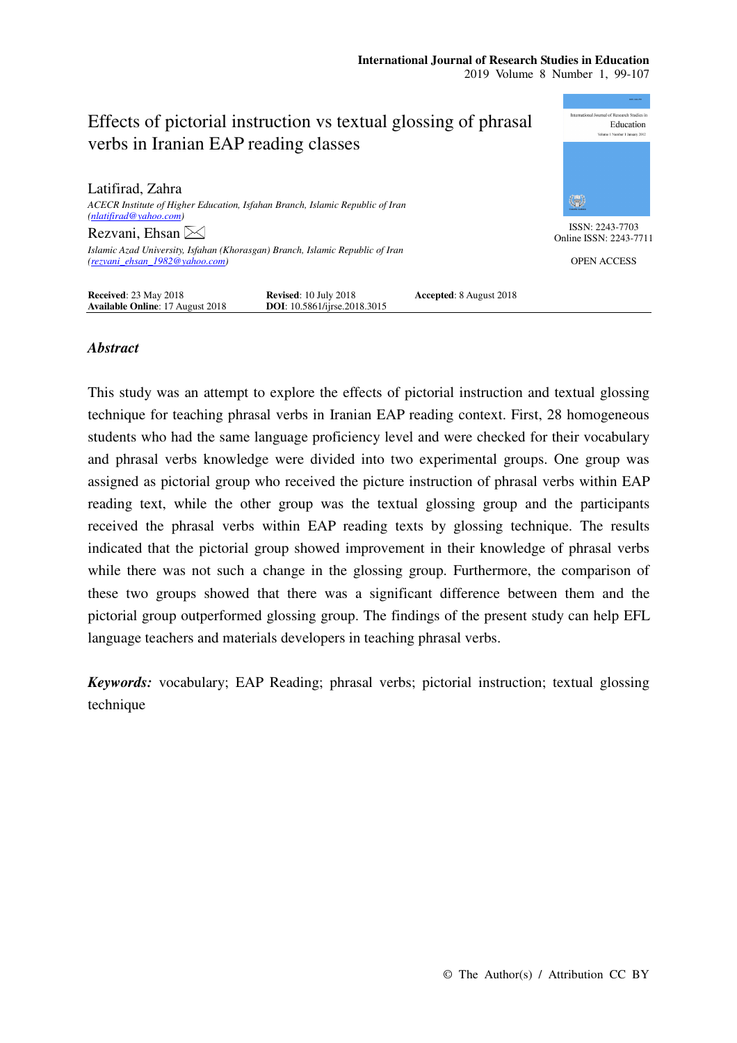

## *Abstract*

This study was an attempt to explore the effects of pictorial instruction and textual glossing technique for teaching phrasal verbs in Iranian EAP reading context. First, 28 homogeneous students who had the same language proficiency level and were checked for their vocabulary and phrasal verbs knowledge were divided into two experimental groups. One group was assigned as pictorial group who received the picture instruction of phrasal verbs within EAP reading text, while the other group was the textual glossing group and the participants received the phrasal verbs within EAP reading texts by glossing technique. The results indicated that the pictorial group showed improvement in their knowledge of phrasal verbs while there was not such a change in the glossing group. Furthermore, the comparison of these two groups showed that there was a significant difference between them and the pictorial group outperformed glossing group. The findings of the present study can help EFL language teachers and materials developers in teaching phrasal verbs.

*Keywords:* vocabulary; EAP Reading; phrasal verbs; pictorial instruction; textual glossing technique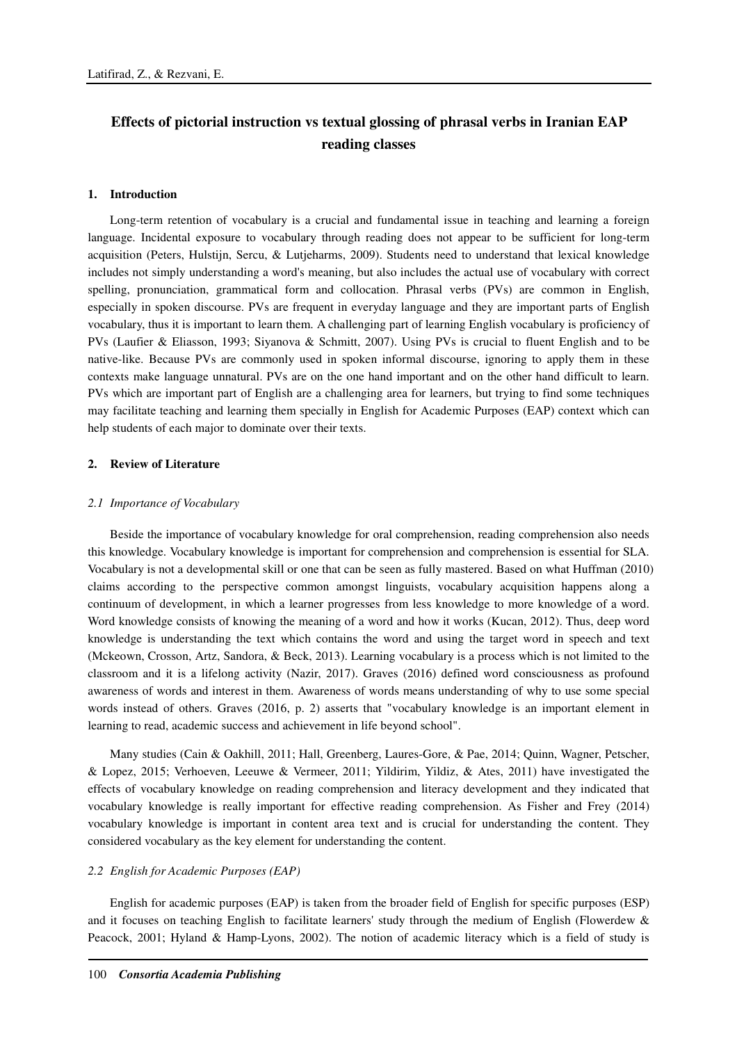# **Effects of pictorial instruction vs textual glossing of phrasal verbs in Iranian EAP reading classes**

#### **1. Introduction**

Long-term retention of vocabulary is a crucial and fundamental issue in teaching and learning a foreign language. Incidental exposure to vocabulary through reading does not appear to be sufficient for long-term acquisition (Peters, Hulstijn, Sercu, & Lutjeharms, 2009). Students need to understand that lexical knowledge includes not simply understanding a word's meaning, but also includes the actual use of vocabulary with correct spelling, pronunciation, grammatical form and collocation. Phrasal verbs (PVs) are common in English, especially in spoken discourse. PVs are frequent in everyday language and they are important parts of English vocabulary, thus it is important to learn them. A challenging part of learning English vocabulary is proficiency of PVs (Laufier & Eliasson, 1993; Siyanova & Schmitt, 2007). Using PVs is crucial to fluent English and to be native-like. Because PVs are commonly used in spoken informal discourse, ignoring to apply them in these contexts make language unnatural. PVs are on the one hand important and on the other hand difficult to learn. PVs which are important part of English are a challenging area for learners, but trying to find some techniques may facilitate teaching and learning them specially in English for Academic Purposes (EAP) context which can help students of each major to dominate over their texts.

#### **2. Review of Literature**

#### *2.1 Importance of Vocabulary*

Beside the importance of vocabulary knowledge for oral comprehension, reading comprehension also needs this knowledge. Vocabulary knowledge is important for comprehension and comprehension is essential for SLA. Vocabulary is not a developmental skill or one that can be seen as fully mastered. Based on what Huffman (2010) claims according to the perspective common amongst linguists, vocabulary acquisition happens along a continuum of development, in which a learner progresses from less knowledge to more knowledge of a word. Word knowledge consists of knowing the meaning of a word and how it works (Kucan, 2012). Thus, deep word knowledge is understanding the text which contains the word and using the target word in speech and text (Mckeown, Crosson, Artz, Sandora, & Beck, 2013). Learning vocabulary is a process which is not limited to the classroom and it is a lifelong activity (Nazir, 2017). Graves (2016) defined word consciousness as profound awareness of words and interest in them. Awareness of words means understanding of why to use some special words instead of others. Graves (2016, p. 2) asserts that "vocabulary knowledge is an important element in learning to read, academic success and achievement in life beyond school".

Many studies (Cain & Oakhill, 2011; Hall, Greenberg, Laures-Gore, & Pae, 2014; Quinn, Wagner, Petscher, & Lopez, 2015; Verhoeven, Leeuwe & Vermeer, 2011; Yildirim, Yildiz, & Ates, 2011) have investigated the effects of vocabulary knowledge on reading comprehension and literacy development and they indicated that vocabulary knowledge is really important for effective reading comprehension. As Fisher and Frey (2014) vocabulary knowledge is important in content area text and is crucial for understanding the content. They considered vocabulary as the key element for understanding the content.

#### *2.2 English for Academic Purposes (EAP)*

English for academic purposes (EAP) is taken from the broader field of English for specific purposes (ESP) and it focuses on teaching English to facilitate learners' study through the medium of English (Flowerdew & Peacock, 2001; Hyland & Hamp-Lyons, 2002). The notion of academic literacy which is a field of study is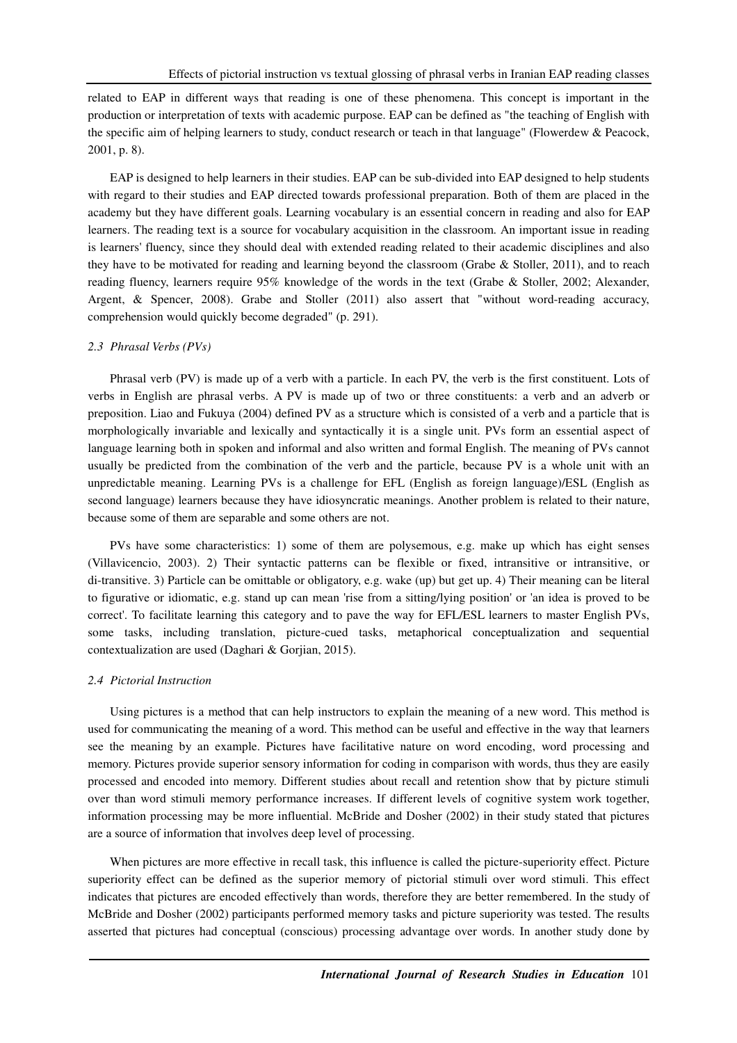related to EAP in different ways that reading is one of these phenomena. This concept is important in the production or interpretation of texts with academic purpose. EAP can be defined as "the teaching of English with the specific aim of helping learners to study, conduct research or teach in that language" (Flowerdew & Peacock, 2001, p. 8).

EAP is designed to help learners in their studies. EAP can be sub-divided into EAP designed to help students with regard to their studies and EAP directed towards professional preparation. Both of them are placed in the academy but they have different goals. Learning vocabulary is an essential concern in reading and also for EAP learners. The reading text is a source for vocabulary acquisition in the classroom. An important issue in reading is learners' fluency, since they should deal with extended reading related to their academic disciplines and also they have to be motivated for reading and learning beyond the classroom (Grabe & Stoller, 2011), and to reach reading fluency, learners require 95% knowledge of the words in the text (Grabe & Stoller, 2002; Alexander, Argent, & Spencer, 2008). Grabe and Stoller (2011) also assert that "without word-reading accuracy, comprehension would quickly become degraded" (p. 291).

#### *2.3 Phrasal Verbs (PVs)*

Phrasal verb (PV) is made up of a verb with a particle. In each PV, the verb is the first constituent. Lots of verbs in English are phrasal verbs. A PV is made up of two or three constituents: a verb and an adverb or preposition. Liao and Fukuya (2004) defined PV as a structure which is consisted of a verb and a particle that is morphologically invariable and lexically and syntactically it is a single unit. PVs form an essential aspect of language learning both in spoken and informal and also written and formal English. The meaning of PVs cannot usually be predicted from the combination of the verb and the particle, because PV is a whole unit with an unpredictable meaning. Learning PVs is a challenge for EFL (English as foreign language)/ESL (English as second language) learners because they have idiosyncratic meanings. Another problem is related to their nature, because some of them are separable and some others are not.

PVs have some characteristics: 1) some of them are polysemous, e.g. make up which has eight senses (Villavicencio, 2003). 2) Their syntactic patterns can be flexible or fixed, intransitive or intransitive, or di-transitive. 3) Particle can be omittable or obligatory, e.g. wake (up) but get up. 4) Their meaning can be literal to figurative or idiomatic, e.g. stand up can mean 'rise from a sitting/lying position' or 'an idea is proved to be correct'. To facilitate learning this category and to pave the way for EFL/ESL learners to master English PVs, some tasks, including translation, picture-cued tasks, metaphorical conceptualization and sequential contextualization are used (Daghari & Gorjian, 2015).

#### *2.4 Pictorial Instruction*

Using pictures is a method that can help instructors to explain the meaning of a new word. This method is used for communicating the meaning of a word. This method can be useful and effective in the way that learners see the meaning by an example. Pictures have facilitative nature on word encoding, word processing and memory. Pictures provide superior sensory information for coding in comparison with words, thus they are easily processed and encoded into memory. Different studies about recall and retention show that by picture stimuli over than word stimuli memory performance increases. If different levels of cognitive system work together, information processing may be more influential. McBride and Dosher (2002) in their study stated that pictures are a source of information that involves deep level of processing.

When pictures are more effective in recall task, this influence is called the picture-superiority effect. Picture superiority effect can be defined as the superior memory of pictorial stimuli over word stimuli. This effect indicates that pictures are encoded effectively than words, therefore they are better remembered. In the study of McBride and Dosher (2002) participants performed memory tasks and picture superiority was tested. The results asserted that pictures had conceptual (conscious) processing advantage over words. In another study done by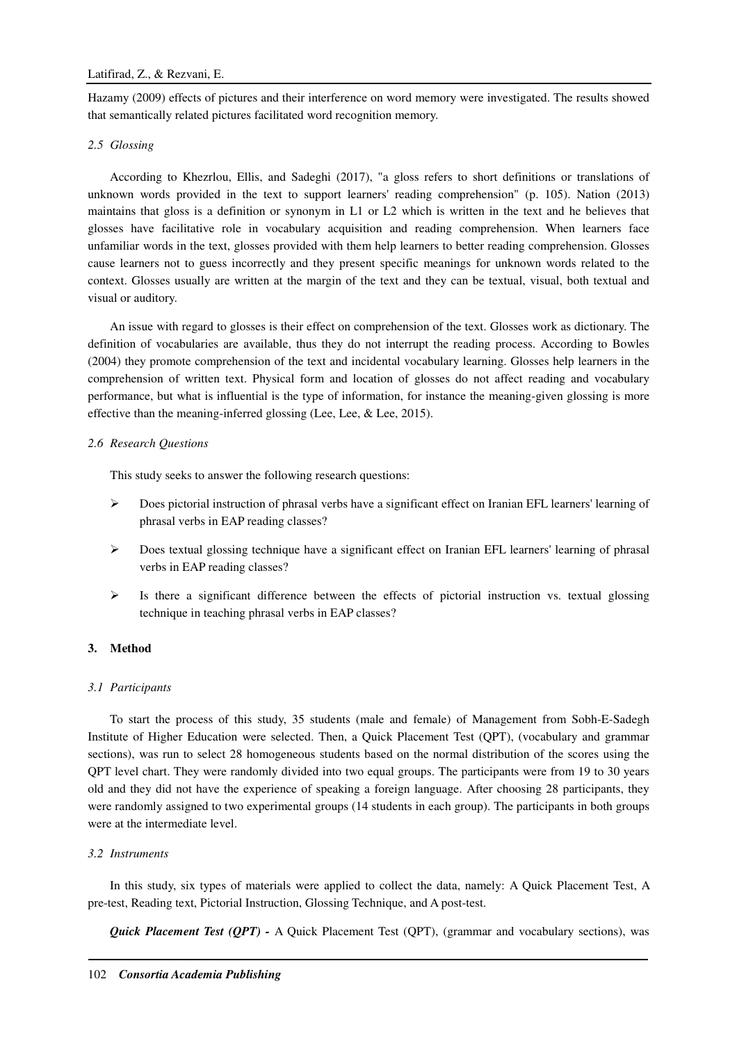Hazamy (2009) effects of pictures and their interference on word memory were investigated. The results showed that semantically related pictures facilitated word recognition memory.

## *2.5 Glossing*

According to Khezrlou, Ellis, and Sadeghi (2017), "a gloss refers to short definitions or translations of unknown words provided in the text to support learners' reading comprehension" (p. 105). Nation (2013) maintains that gloss is a definition or synonym in L1 or L2 which is written in the text and he believes that glosses have facilitative role in vocabulary acquisition and reading comprehension. When learners face unfamiliar words in the text, glosses provided with them help learners to better reading comprehension. Glosses cause learners not to guess incorrectly and they present specific meanings for unknown words related to the context. Glosses usually are written at the margin of the text and they can be textual, visual, both textual and visual or auditory.

An issue with regard to glosses is their effect on comprehension of the text. Glosses work as dictionary. The definition of vocabularies are available, thus they do not interrupt the reading process. According to Bowles (2004) they promote comprehension of the text and incidental vocabulary learning. Glosses help learners in the comprehension of written text. Physical form and location of glosses do not affect reading and vocabulary performance, but what is influential is the type of information, for instance the meaning-given glossing is more effective than the meaning-inferred glossing (Lee, Lee, & Lee, 2015).

## *2.6 Research Questions*

This study seeks to answer the following research questions:

- $\triangleright$  Does pictorial instruction of phrasal verbs have a significant effect on Iranian EFL learners' learning of phrasal verbs in EAP reading classes?
- $\triangleright$  Does textual glossing technique have a significant effect on Iranian EFL learners' learning of phrasal verbs in EAP reading classes?
- $\triangleright$  Is there a significant difference between the effects of pictorial instruction vs. textual glossing technique in teaching phrasal verbs in EAP classes?

## **3. Method**

## *3.1 Participants*

To start the process of this study, 35 students (male and female) of Management from Sobh-E-Sadegh Institute of Higher Education were selected. Then, a Quick Placement Test (QPT), (vocabulary and grammar sections), was run to select 28 homogeneous students based on the normal distribution of the scores using the QPT level chart. They were randomly divided into two equal groups. The participants were from 19 to 30 years old and they did not have the experience of speaking a foreign language. After choosing 28 participants, they were randomly assigned to two experimental groups (14 students in each group). The participants in both groups were at the intermediate level.

## *3.2 Instruments*

In this study, six types of materials were applied to collect the data, namely: A Quick Placement Test, A pre-test, Reading text, Pictorial Instruction, Glossing Technique, and A post-test.

*Quick Placement Test (OPT) -* A Quick Placement Test (OPT), (grammar and vocabulary sections), was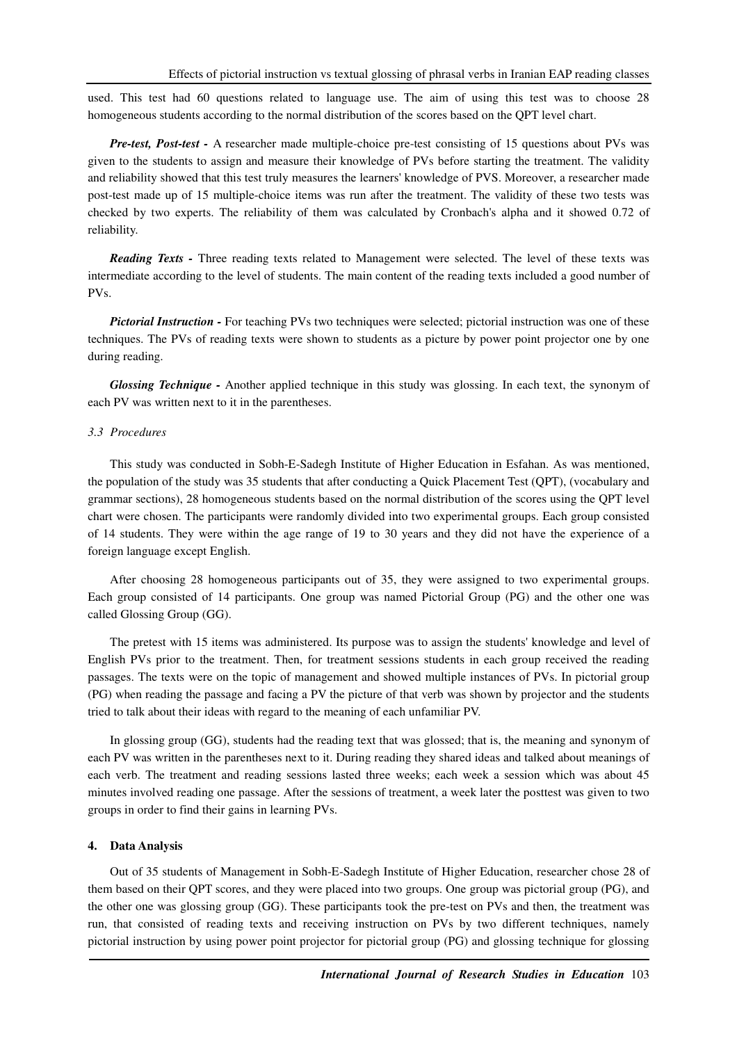used. This test had 60 questions related to language use. The aim of using this test was to choose 28 homogeneous students according to the normal distribution of the scores based on the QPT level chart.

*Pre-test, Post-test -* A researcher made multiple-choice pre-test consisting of 15 questions about PVs was given to the students to assign and measure their knowledge of PVs before starting the treatment. The validity and reliability showed that this test truly measures the learners' knowledge of PVS. Moreover, a researcher made post-test made up of 15 multiple-choice items was run after the treatment. The validity of these two tests was checked by two experts. The reliability of them was calculated by Cronbach's alpha and it showed 0.72 of reliability.

*Reading Texts -* Three reading texts related to Management were selected. The level of these texts was intermediate according to the level of students. The main content of the reading texts included a good number of PVs.

*Pictorial Instruction -* For teaching PVs two techniques were selected; pictorial instruction was one of these techniques. The PVs of reading texts were shown to students as a picture by power point projector one by one during reading.

*Glossing Technique -* Another applied technique in this study was glossing. In each text, the synonym of each PV was written next to it in the parentheses.

#### *3.3 Procedures*

This study was conducted in Sobh-E-Sadegh Institute of Higher Education in Esfahan. As was mentioned, the population of the study was 35 students that after conducting a Quick Placement Test (QPT), (vocabulary and grammar sections), 28 homogeneous students based on the normal distribution of the scores using the QPT level chart were chosen. The participants were randomly divided into two experimental groups. Each group consisted of 14 students. They were within the age range of 19 to 30 years and they did not have the experience of a foreign language except English.

After choosing 28 homogeneous participants out of 35, they were assigned to two experimental groups. Each group consisted of 14 participants. One group was named Pictorial Group (PG) and the other one was called Glossing Group (GG).

The pretest with 15 items was administered. Its purpose was to assign the students' knowledge and level of English PVs prior to the treatment. Then, for treatment sessions students in each group received the reading passages. The texts were on the topic of management and showed multiple instances of PVs. In pictorial group (PG) when reading the passage and facing a PV the picture of that verb was shown by projector and the students tried to talk about their ideas with regard to the meaning of each unfamiliar PV.

In glossing group (GG), students had the reading text that was glossed; that is, the meaning and synonym of each PV was written in the parentheses next to it. During reading they shared ideas and talked about meanings of each verb. The treatment and reading sessions lasted three weeks; each week a session which was about 45 minutes involved reading one passage. After the sessions of treatment, a week later the posttest was given to two groups in order to find their gains in learning PVs.

#### **4. Data Analysis**

Out of 35 students of Management in Sobh-E-Sadegh Institute of Higher Education, researcher chose 28 of them based on their QPT scores, and they were placed into two groups. One group was pictorial group (PG), and the other one was glossing group (GG). These participants took the pre-test on PVs and then, the treatment was run, that consisted of reading texts and receiving instruction on PVs by two different techniques, namely pictorial instruction by using power point projector for pictorial group (PG) and glossing technique for glossing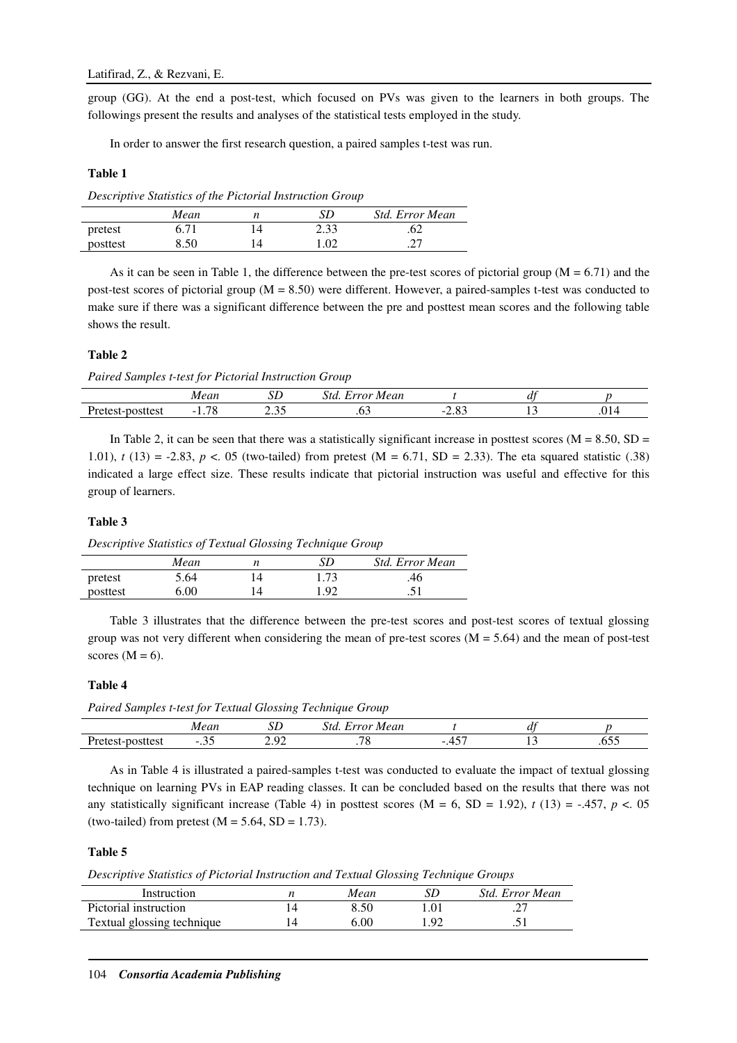group (GG). At the end a post-test, which focused on PVs was given to the learners in both groups. The followings present the results and analyses of the statistical tests employed in the study.

In order to answer the first research question, a paired samples t-test was run.

## **Table 1**

*Descriptive Statistics of the Pictorial Instruction Group* 

|          | Mean | SD   | <b>Std. Error Mean</b> |
|----------|------|------|------------------------|
| pretest  | 6.71 | 2.33 | .62                    |
| posttest | 8.50 | 1.02 | ، ت                    |

As it can be seen in Table 1, the difference between the pre-test scores of pictorial group ( $M = 6.71$ ) and the post-test scores of pictorial group  $(M = 8.50)$  were different. However, a paired-samples t-test was conducted to make sure if there was a significant difference between the pre and posttest mean scores and the following table shows the result.

## **Table 2**

*Paired Samples t-test for Pictorial Instruction Group* 

|              | .                                         | --<br>υL | -<br>Mear<br>34340<br>. . | - |         |
|--------------|-------------------------------------------|----------|---------------------------|---|---------|
| Ð<br>่วแเบอเ | $\overline{\phantom{a}}$<br>-<br>ັ<br>. . | <u>.</u> | . v.                      |   | $\cdot$ |

In Table 2, it can be seen that there was a statistically significant increase in posttest scores ( $M = 8.50$ ,  $SD =$ 1.01), *t* (13) = -2.83, *p* <. 05 (two-tailed) from pretest (M = 6.71, SD = 2.33). The eta squared statistic (.38) indicated a large effect size. These results indicate that pictorial instruction was useful and effective for this group of learners.

## **Table 3**

*Descriptive Statistics of Textual Glossing Technique Group* 

|          | Mean | SD   | Std. Error Mean |
|----------|------|------|-----------------|
| pretest  | 5.64 | 1.73 | .46             |
| posttest | 6.00 | 1.92 | .51             |

Table 3 illustrates that the difference between the pre-test scores and post-test scores of textual glossing group was not very different when considering the mean of pre-test scores  $(M = 5.64)$  and the mean of post-test scores  $(M = 6)$ .

## **Table 4**

*Paired Samples t-test for Textual Glossing Technique Group* 

|                                                             | $\alpha\alpha\nu$<br>.                              | --<br>ມມ                | -<br>Mean<br>rror<br>$\lambda$ |                    | $\sim$ $\sim$ |               |
|-------------------------------------------------------------|-----------------------------------------------------|-------------------------|--------------------------------|--------------------|---------------|---------------|
| Ð<br>.10 <sup>o</sup><br>$\cdot$<br>∩ct<br><br>sucsi<br>しつじ | $\overline{\phantom{a}}$<br>$\cdot\!\!\sim\!\!\sim$ | $\Delta$<br>مره سم<br>- | $\overline{\phantom{a}}$       | $ -$<br>$-$<br>. . |               | - -<br>$\sim$ |

As in Table 4 is illustrated a paired-samples t-test was conducted to evaluate the impact of textual glossing technique on learning PVs in EAP reading classes. It can be concluded based on the results that there was not any statistically significant increase (Table 4) in posttest scores  $(M = 6, SD = 1.92)$ ,  $t(13) = -.457$ ,  $p < .05$ (two-tailed) from pretest  $(M = 5.64, SD = 1.73)$ .

#### **Table 5**

*Descriptive Statistics of Pictorial Instruction and Textual Glossing Technique Groups* 

| Instruction                | Mean |     | Std. Error Mean         |
|----------------------------|------|-----|-------------------------|
| Pictorial instruction      |      | .01 |                         |
| Textual glossing technique | 5.00 | റാ  | $\cdot$ $\cdot$ $\cdot$ |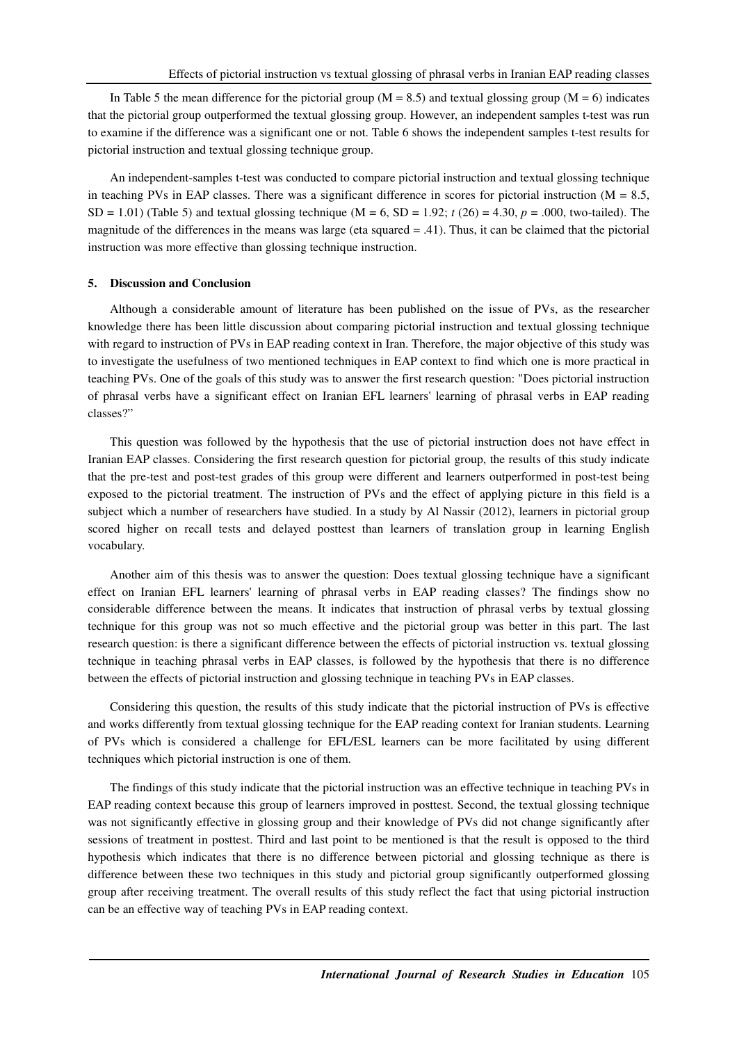In Table 5 the mean difference for the pictorial group ( $M = 8.5$ ) and textual glossing group ( $M = 6$ ) indicates that the pictorial group outperformed the textual glossing group. However, an independent samples t-test was run to examine if the difference was a significant one or not. Table 6 shows the independent samples t-test results for pictorial instruction and textual glossing technique group.

An independent-samples t-test was conducted to compare pictorial instruction and textual glossing technique in teaching PVs in EAP classes. There was a significant difference in scores for pictorial instruction ( $M = 8.5$ , SD = 1.01) (Table 5) and textual glossing technique (M = 6, SD = 1.92;  $t(26) = 4.30$ ,  $p = .000$ , two-tailed). The magnitude of the differences in the means was large (eta squared = .41). Thus, it can be claimed that the pictorial instruction was more effective than glossing technique instruction.

#### **5. Discussion and Conclusion**

Although a considerable amount of literature has been published on the issue of PVs, as the researcher knowledge there has been little discussion about comparing pictorial instruction and textual glossing technique with regard to instruction of PVs in EAP reading context in Iran. Therefore, the major objective of this study was to investigate the usefulness of two mentioned techniques in EAP context to find which one is more practical in teaching PVs. One of the goals of this study was to answer the first research question: "Does pictorial instruction of phrasal verbs have a significant effect on Iranian EFL learners' learning of phrasal verbs in EAP reading classes?"

This question was followed by the hypothesis that the use of pictorial instruction does not have effect in Iranian EAP classes. Considering the first research question for pictorial group, the results of this study indicate that the pre-test and post-test grades of this group were different and learners outperformed in post-test being exposed to the pictorial treatment. The instruction of PVs and the effect of applying picture in this field is a subject which a number of researchers have studied. In a study by Al Nassir (2012), learners in pictorial group scored higher on recall tests and delayed posttest than learners of translation group in learning English vocabulary.

Another aim of this thesis was to answer the question: Does textual glossing technique have a significant effect on Iranian EFL learners' learning of phrasal verbs in EAP reading classes? The findings show no considerable difference between the means. It indicates that instruction of phrasal verbs by textual glossing technique for this group was not so much effective and the pictorial group was better in this part. The last research question: is there a significant difference between the effects of pictorial instruction vs. textual glossing technique in teaching phrasal verbs in EAP classes, is followed by the hypothesis that there is no difference between the effects of pictorial instruction and glossing technique in teaching PVs in EAP classes.

Considering this question, the results of this study indicate that the pictorial instruction of PVs is effective and works differently from textual glossing technique for the EAP reading context for Iranian students. Learning of PVs which is considered a challenge for EFL/ESL learners can be more facilitated by using different techniques which pictorial instruction is one of them.

The findings of this study indicate that the pictorial instruction was an effective technique in teaching PVs in EAP reading context because this group of learners improved in posttest. Second, the textual glossing technique was not significantly effective in glossing group and their knowledge of PVs did not change significantly after sessions of treatment in posttest. Third and last point to be mentioned is that the result is opposed to the third hypothesis which indicates that there is no difference between pictorial and glossing technique as there is difference between these two techniques in this study and pictorial group significantly outperformed glossing group after receiving treatment. The overall results of this study reflect the fact that using pictorial instruction can be an effective way of teaching PVs in EAP reading context.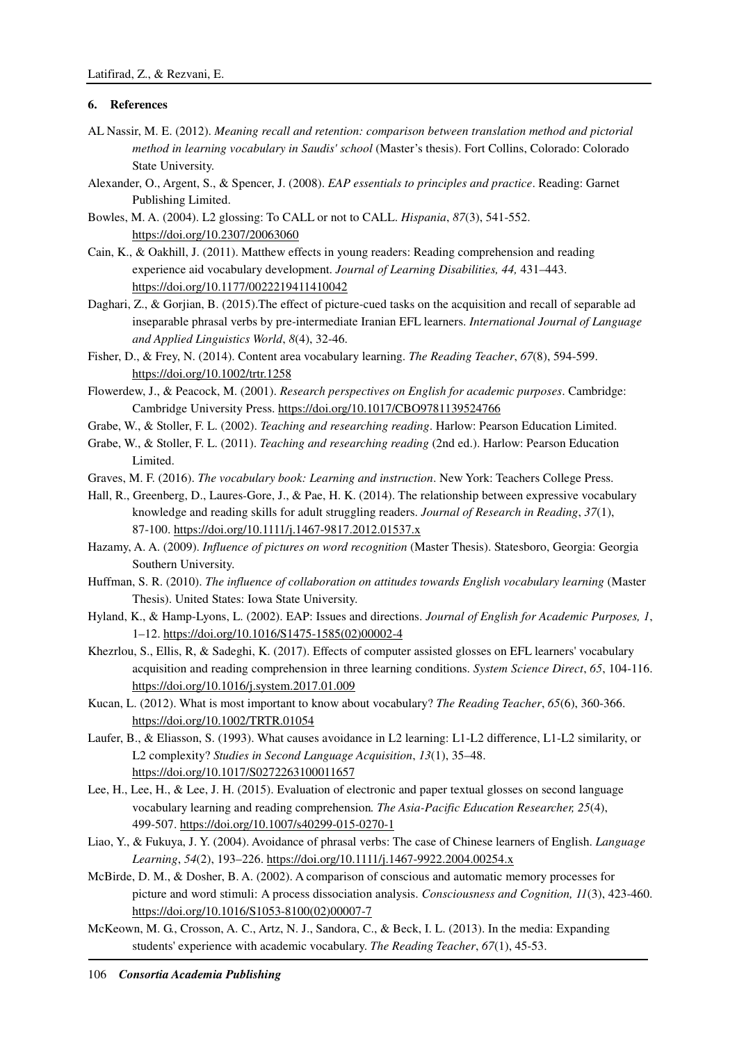## **6. References**

- AL Nassir, M. E. (2012). *Meaning recall and retention: comparison between translation method and pictorial method in learning vocabulary in Saudis' school* (Master's thesis). Fort Collins, Colorado: Colorado State University.
- Alexander, O., Argent, S., & Spencer, J. (2008). *EAP essentials to principles and practice*. Reading: Garnet Publishing Limited.
- Bowles, M. A. (2004). L2 glossing: To CALL or not to CALL. *Hispania*, *87*(3), 541-552. https://doi.org/10.2307/20063060
- Cain, K., & Oakhill, J. (2011). Matthew effects in young readers: Reading comprehension and reading experience aid vocabulary development. *Journal of Learning Disabilities, 44,* 431–443. https://doi.org/10.1177/0022219411410042
- Daghari, Z., & Gorjian, B. (2015).The effect of picture-cued tasks on the acquisition and recall of separable ad inseparable phrasal verbs by pre-intermediate Iranian EFL learners. *International Journal of Language and Applied Linguistics World*, *8*(4), 32-46.
- Fisher, D., & Frey, N. (2014). Content area vocabulary learning. *The Reading Teacher*, *67*(8), 594-599. https://doi.org/10.1002/trtr.1258
- Flowerdew, J., & Peacock, M. (2001). *Research perspectives on English for academic purposes*. Cambridge: Cambridge University Press. https://doi.org/10.1017/CBO9781139524766
- Grabe, W., & Stoller, F. L. (2002). *Teaching and researching reading*. Harlow: Pearson Education Limited.
- Grabe, W., & Stoller, F. L. (2011). *Teaching and researching reading* (2nd ed.). Harlow: Pearson Education Limited.
- Graves, M. F. (2016). *The vocabulary book: Learning and instruction*. New York: Teachers College Press.
- Hall, R., Greenberg, D., Laures‐Gore, J., & Pae, H. K. (2014). The relationship between expressive vocabulary knowledge and reading skills for adult struggling readers. *Journal of Research in Reading*, *37*(1), 87-100. https://doi.org/10.1111/j.1467-9817.2012.01537.x
- Hazamy, A. A. (2009). *Influence of pictures on word recognition* (Master Thesis). Statesboro, Georgia: Georgia Southern University.
- Huffman, S. R. (2010). *The influence of collaboration on attitudes towards English vocabulary learning* (Master Thesis). United States: Iowa State University.
- Hyland, K., & Hamp-Lyons, L. (2002). EAP: Issues and directions. *Journal of English for Academic Purposes, 1*, 1–12. https://doi.org/10.1016/S1475-1585(02)00002-4
- Khezrlou, S., Ellis, R, & Sadeghi, K. (2017). Effects of computer assisted glosses on EFL learners' vocabulary acquisition and reading comprehension in three learning conditions. *System Science Direct*, *65*, 104-116. https://doi.org/10.1016/j.system.2017.01.009
- Kucan, L. (2012). What is most important to know about vocabulary? *The Reading Teacher*, *65*(6), 360-366. https://doi.org/10.1002/TRTR.01054
- Laufer, B., & Eliasson, S. (1993). What causes avoidance in L2 learning: L1-L2 difference, L1-L2 similarity, or L2 complexity? *Studies in Second Language Acquisition*, *13*(1), 35–48. https://doi.org/10.1017/S0272263100011657
- Lee, H., Lee, H., & Lee, J. H. (2015). Evaluation of electronic and paper textual glosses on second language vocabulary learning and reading comprehension*. The Asia-Pacific Education Researcher, 25*(4), 499-507. https://doi.org/10.1007/s40299-015-0270-1
- Liao, Y., & Fukuya, J. Y. (2004). Avoidance of phrasal verbs: The case of Chinese learners of English. *Language Learning*, *54*(2), 193–226. https://doi.org/10.1111/j.1467-9922.2004.00254.x
- McBirde, D. M., & Dosher, B. A. (2002). A comparison of conscious and automatic memory processes for picture and word stimuli: A process dissociation analysis. *Consciousness and Cognition, 11*(3), 423-460. https://doi.org/10.1016/S1053-8100(02)00007-7
- McKeown, M. G., Crosson, A. C., Artz, N. J., Sandora, C., & Beck, I. L. (2013). In the media: Expanding students' experience with academic vocabulary. *The Reading Teacher*, *67*(1), 45-53.